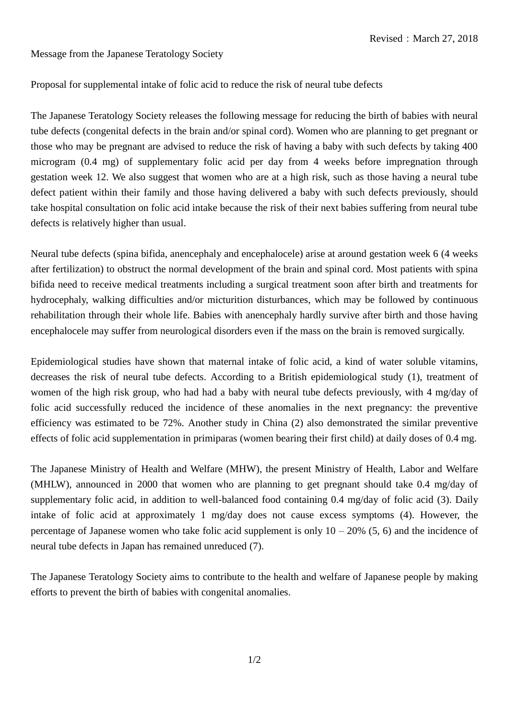Message from the Japanese Teratology Society

## Proposal for supplemental intake of folic acid to reduce the risk of neural tube defects

The Japanese Teratology Society releases the following message for reducing the birth of babies with neural tube defects (congenital defects in the brain and/or spinal cord). Women who are planning to get pregnant or those who may be pregnant are advised to reduce the risk of having a baby with such defects by taking 400 microgram (0.4 mg) of supplementary folic acid per day from 4 weeks before impregnation through gestation week 12. We also suggest that women who are at a high risk, such as those having a neural tube defect patient within their family and those having delivered a baby with such defects previously, should take hospital consultation on folic acid intake because the risk of their next babies suffering from neural tube defects is relatively higher than usual.

Neural tube defects (spina bifida, anencephaly and encephalocele) arise at around gestation week 6 (4 weeks after fertilization) to obstruct the normal development of the brain and spinal cord. Most patients with spina bifida need to receive medical treatments including a surgical treatment soon after birth and treatments for hydrocephaly, walking difficulties and/or micturition disturbances, which may be followed by continuous rehabilitation through their whole life. Babies with anencephaly hardly survive after birth and those having encephalocele may suffer from neurological disorders even if the mass on the brain is removed surgically.

Epidemiological studies have shown that maternal intake of folic acid, a kind of water soluble vitamins, decreases the risk of neural tube defects. According to a British epidemiological study (1), treatment of women of the high risk group, who had had a baby with neural tube defects previously, with 4 mg/day of folic acid successfully reduced the incidence of these anomalies in the next pregnancy: the preventive efficiency was estimated to be 72%. Another study in China (2) also demonstrated the similar preventive effects of folic acid supplementation in primiparas (women bearing their first child) at daily doses of 0.4 mg.

The Japanese Ministry of Health and Welfare (MHW), the present Ministry of Health, Labor and Welfare (MHLW), announced in 2000 that women who are planning to get pregnant should take 0.4 mg/day of supplementary folic acid, in addition to well-balanced food containing 0.4 mg/day of folic acid (3). Daily intake of folic acid at approximately 1 mg/day does not cause excess symptoms (4). However, the percentage of Japanese women who take folic acid supplement is only  $10 - 20\%$  (5, 6) and the incidence of neural tube defects in Japan has remained unreduced (7).

The Japanese Teratology Society aims to contribute to the health and welfare of Japanese people by making efforts to prevent the birth of babies with congenital anomalies.